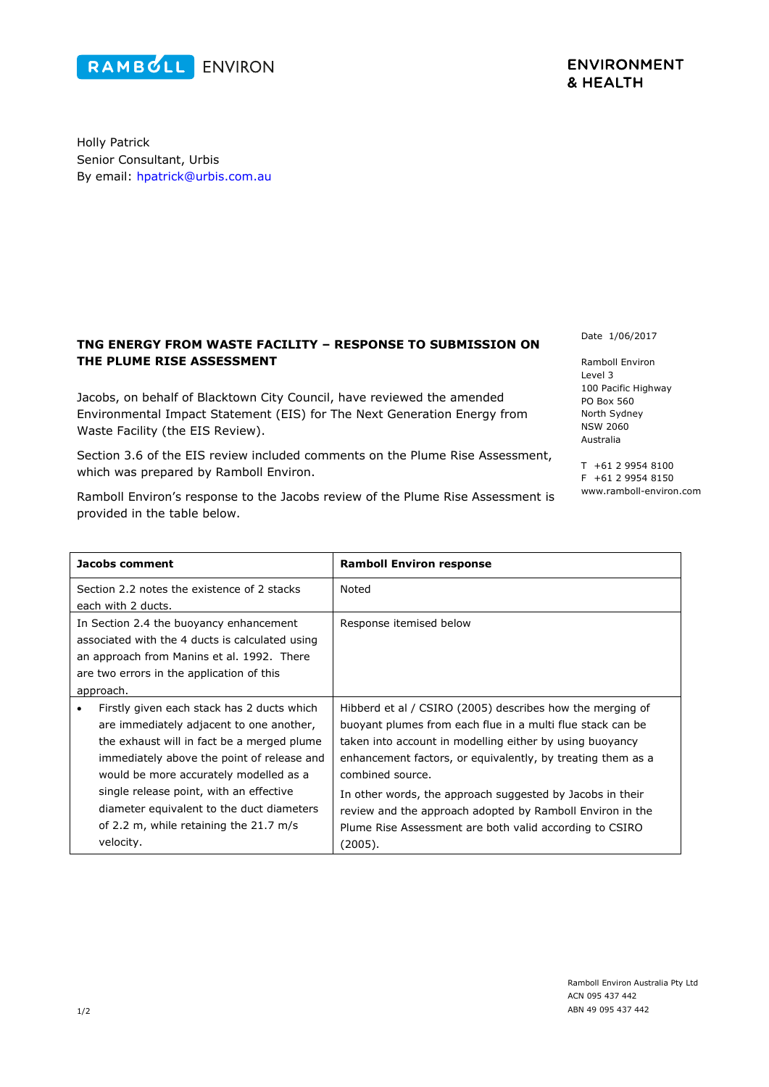## Senior Consultant, Urbis By email: [hpatrick@urbis.com.au](mailto:hpatrick@urbis.com.au)

Holly Patrick

## **TNG ENERGY FROM WASTE FACILITY – RESPONSE TO SUBMISSION ON THE PLUME RISE ASSESSMENT**

Jacobs, on behalf of Blacktown City Council, have reviewed the amended Environmental Impact Statement (EIS) for The Next Generation Energy from Waste Facility (the EIS Review).

Section 3.6 of the EIS review included comments on the Plume Rise Assessment, which was prepared by Ramboll Environ.

Ramboll Environ's response to the Jacobs review of the Plume Rise Assessment is provided in the table below.

Date 1/06/2017

Ramboll Environ Level 3 100 Pacific Highway PO Box 560 North Sydney NSW 2060 Australia

T +61 2 9954 8100 F +61 2 9954 8150 www.ramboll-environ.com

| Jacobs comment                                                                                                                                                                                                                                                                                                                                                                           | <b>Ramboll Environ response</b>                                                                                                                                                                                                                                                                                                                                                                                                                                        |
|------------------------------------------------------------------------------------------------------------------------------------------------------------------------------------------------------------------------------------------------------------------------------------------------------------------------------------------------------------------------------------------|------------------------------------------------------------------------------------------------------------------------------------------------------------------------------------------------------------------------------------------------------------------------------------------------------------------------------------------------------------------------------------------------------------------------------------------------------------------------|
| Section 2.2 notes the existence of 2 stacks<br>each with 2 ducts.                                                                                                                                                                                                                                                                                                                        | Noted                                                                                                                                                                                                                                                                                                                                                                                                                                                                  |
| In Section 2.4 the buoyancy enhancement<br>associated with the 4 ducts is calculated using<br>an approach from Manins et al. 1992. There<br>are two errors in the application of this<br>approach.                                                                                                                                                                                       | Response itemised below                                                                                                                                                                                                                                                                                                                                                                                                                                                |
| Firstly given each stack has 2 ducts which<br>$\bullet$<br>are immediately adjacent to one another,<br>the exhaust will in fact be a merged plume<br>immediately above the point of release and<br>would be more accurately modelled as a<br>single release point, with an effective<br>diameter equivalent to the duct diameters<br>of 2.2 m, while retaining the 21.7 m/s<br>velocity. | Hibberd et al / CSIRO (2005) describes how the merging of<br>buoyant plumes from each flue in a multi flue stack can be<br>taken into account in modelling either by using buoyancy<br>enhancement factors, or equivalently, by treating them as a<br>combined source.<br>In other words, the approach suggested by Jacobs in their<br>review and the approach adopted by Ramboll Environ in the<br>Plume Rise Assessment are both valid according to CSIRO<br>(2005). |